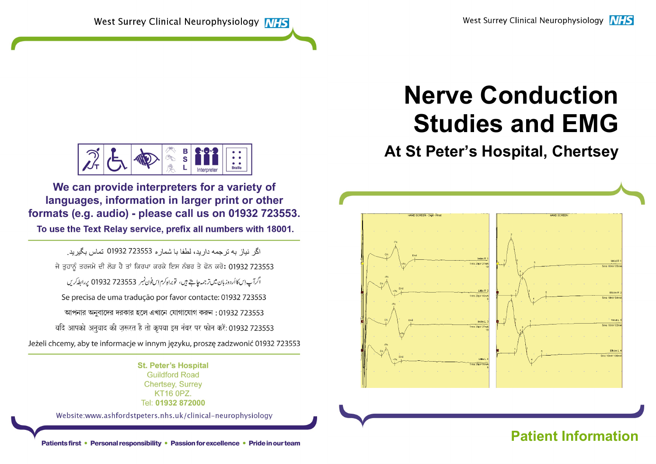# Nerve Conduction Studies and EMG

# At St Peter's Hospital, Chertsey



# Patients first • Personal responsibility • Passion for excellence • Pride in our team **Patient Information**



We can provide interpreters for a variety of languages, information in larger print or other formats (e.g. audio) - please call us on 01932 723553.

To use the Text Relay service, prefix all numbers with 18001.

اگر نباز به تر جمه دار بد، لطفا با شمار ه 723553 01932 تماس بگیر بد. ਜੇ ਤਹਾਨੂੰ ਤਰਜਮੇ ਦੀ ਲੋੜ ਹੈ ਤਾਂ ਕਿਰਪਾ ਕਰਕੇ ਇਸ ਨੰਬਰ ਤੇ ਫੋਨ ਕਰੋ: 01932 723553 اگرآپ اِس کاأردوزبان میں ترجمہ جاہتے ہیں، توبراہ کرم اِس فون نمبر 723553 01932 پر ابط کریں Se precisa de uma tradução por favor contacte: 01932 723553 আপনার অনুবাদের দরকার হলে এখানে যোগাযোগ করুন: 01932 723553 यदि आपको अनुवाद की ज़रूरत है तो कृपया इस नंबर पर फोन करें: 01932 723553 Jeżeli chcemy, aby te informacje w innym języku, proszę zadzwonić 01932 723553

> **St. Peter's Hospital Guildford Road Chertsev. Surrev** KT16 0PZ. Tel: 01932 872000

Website:www.ashfordstpeters.nhs.uk/clinical-neurophysiology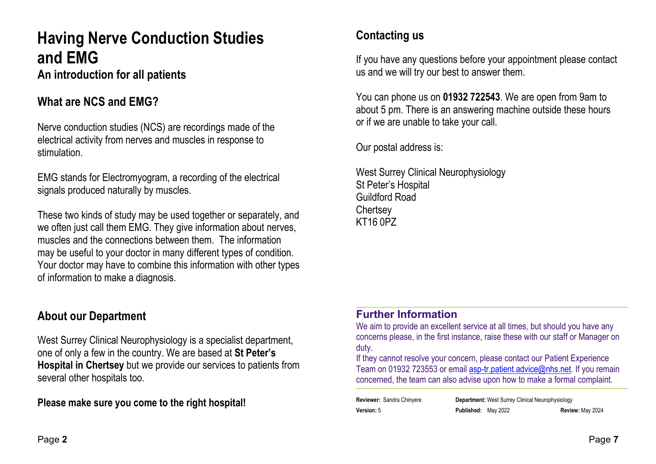# Having Nerve Conduction Studies and EMG An introduction for all patients

## What are NCS and EMG?

Nerve conduction studies (NCS) are recordings made of the electrical activity from nerves and muscles in response to stimulation.

EMG stands for Electromyogram, a recording of the electrical signals produced naturally by muscles.

These two kinds of study may be used together or separately, and we often just call them EMG. They give information about nerves, muscles and the connections between them. The information may be useful to your doctor in many different types of condition. Your doctor may have to combine this information with other types of information to make a diagnosis.

## About our Department

West Surrey Clinical Neurophysiology is a specialist department, one of only a few in the country. We are based at St Peter's Hospital in Chertsey but we provide our services to patients from several other hospitals too.

Please make sure you come to the right hospital!

# Contacting us

If you have any questions before your appointment please contact us and we will try our best to answer them.

You can phone us on 01932 722543. We are open from 9am to about 5 pm. There is an answering machine outside these hours or if we are unable to take your call.

Our postal address is:

West Surrey Clinical Neurophysiology St Peter's Hospital Guildford Road **Chertsey** KT16 0PZ

#### Further Information

We aim to provide an excellent service at all times, but should you have any concerns please, in the first instance, raise these with our staff or Manager on duty.

If they cannot resolve your concern, please contact our Patient Experience Team on 01932 723553 or email asp-tr.patient.advice@nhs.net. If you remain concerned, the team can also advise upon how to make a formal complaint.

Reviewer: Sandra Chinyere **Department:** West Surrey Clinical Neurophysiology Version: 5 Published: May 2022 Review: May 2024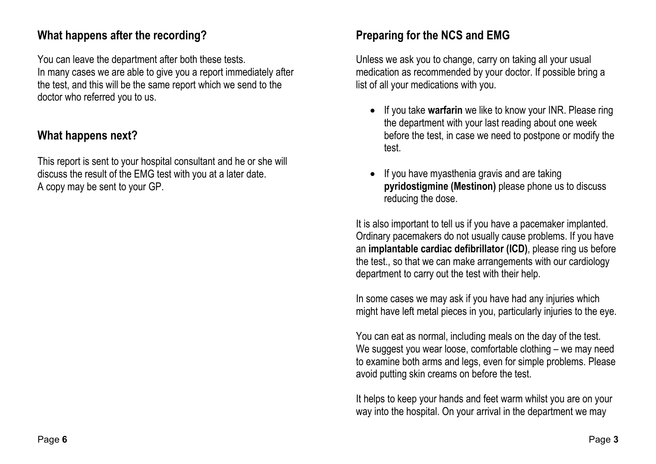## What happens after the recording?

You can leave the department after both these tests. In many cases we are able to give you a report immediately after the test, and this will be the same report which we send to the doctor who referred you to us.

# What happens next?

This report is sent to your hospital consultant and he or she will discuss the result of the EMG test with you at a later date. A copy may be sent to your GP.

# Preparing for the NCS and EMG

Unless we ask you to change, carry on taking all your usual medication as recommended by your doctor. If possible bring a list of all your medications with you.

- If you take warfarin we like to know your INR. Please ring the department with your last reading about one week before the test, in case we need to postpone or modify the test.
- If you have myasthenia gravis and are taking pyridostigmine (Mestinon) please phone us to discuss reducing the dose.

It is also important to tell us if you have a pacemaker implanted. Ordinary pacemakers do not usually cause problems. If you have an implantable cardiac defibrillator (ICD), please ring us before the test., so that we can make arrangements with our cardiology department to carry out the test with their help.

In some cases we may ask if you have had any injuries which might have left metal pieces in you, particularly injuries to the eye.

You can eat as normal, including meals on the day of the test. We suggest you wear loose, comfortable clothing – we may need to examine both arms and legs, even for simple problems. Please avoid putting skin creams on before the test.

It helps to keep your hands and feet warm whilst you are on your way into the hospital. On your arrival in the department we may